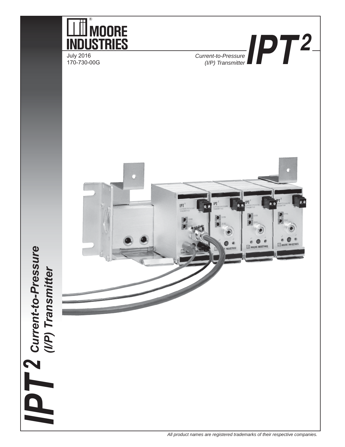

*All product names are registered trademarks of their respective companies.*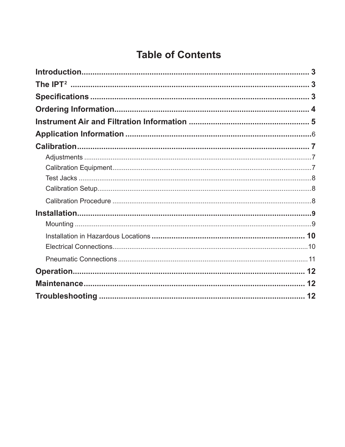# **Table of Contents**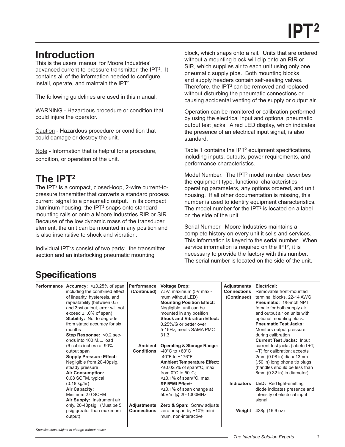# <span id="page-2-0"></span>**Introduction**

This is the users' manual for Moore Industries' advanced current-to-pressure transmitter, the IPT2 . It contains all of the information needed to configure, install, operate, and maintain the IPT<sup>2</sup>.

The following guidelines are used in this manual:

WARNING - Hazardous procedure or condition that could injure the operator.

Caution - Hazardous procedure or condition that could damage or destroy the unit.

Note - Information that is helpful for a procedure, condition, or operation of the unit.

# **The IPT2**

The IPT2 is a compact, closed-loop, 2-wire current-topressure transmitter that converts a standard process current signal to a pneumatic output. In its compact aluminum housing, the IPT $2$  snaps onto standard mounting rails or onto a Moore Industries RIR or SIR. Because of the low dynamic mass of the transducer element, the unit can be mounted in any position and is also insensitive to shock and vibration.

Individual IPT<sup>2</sup>s consist of two parts: the transmitter section and an interlocking pneumatic mounting

block, which snaps onto a rail. Units that are ordered without a mounting block will clip onto an RIR or SIR, which supplies air to each unit using only one pneumatic supply pipe. Both mounting blocks and supply headers contain self-sealing valves. Therefore, the  $IPT<sup>2</sup>$  can be removed and replaced without disturbing the pneumatic connections or causing accidental venting of the supply or output air.

Operation can be monitored or calibration performed by using the electrical input and optional pneumatic output test jacks. A red LED display, which indicates the presence of an electrical input signal, is also standard.

Table 1 contains the IPT<sup>2</sup> equipment specifications, including inputs, outputs, power requirements, and performance characteristics.

Model Number. The IPT<sup>2</sup> model number describes the equipment type, functional characteristics, operating parameters, any options ordered, and unit housing. If all other documentation is missing, this number is used to identify equipment characteristics. The model number for the  $IPT<sup>2</sup>$  is located on a label on the side of the unit.

Serial Number. Moore Industries maintains a complete history on every unit it sells and services. This information is keyed to the serial number. When service information is required on the IPT<sup>2</sup>, it is necessary to provide the factory with this number. The serial number is located on the side of the unit.

## **Specifications**

| <b>Performance Accuracy: &lt; ±0.25% of span</b><br>including the combined effect<br>of linearity, hysteresis, and<br>repeatability (between 0.5<br>and 3psi output, error will not<br>$exceed \pm 1.0\%$ of span)<br><b>Stability:</b> Not to degrade<br>from stated accuracy for six<br>months<br>Step Response: <0.2 sec-<br>onds into 100 M.L. load<br>(6 cubic inches) at 90%<br>output span<br><b>Supply Pressure Effect:</b><br>Negligible from 20-40psig,<br>steady pressure<br><b>Air Consumption:</b> | <b>Performance</b><br>(Continued)<br>Ambient<br><b>Conditions</b> | <b>Voltage Drop:</b><br>7.5V, maximum (5V maxi-<br>mum without LED)<br><b>Mounting Position Effect:</b><br>Negligible, unit can be<br>mounted in any position<br><b>Shock and Vibration Effect:</b><br>0.25%/G or better over<br>5-15Hz; meets SAMA PMC<br>31.3<br><b>Operating &amp; Storage Range:</b><br>-40 $^{\circ}$ C to +80 $^{\circ}$ C<br>$-40^{\circ}$ F to $+176^{\circ}$ F<br><b>Ambient Temperature Effect:</b><br>$\leq$ ±0.025% of span/°C, max<br>from $0^{\circ}$ C to $50^{\circ}$ C; | <b>Adjustments</b><br><b>Connections</b><br>(Continued) | Electrical:<br>Removable front-mounted<br>terminal blocks, 22-14 AWG<br><b>Pneumatic: 1/8-inch NPT</b><br>female for both supply air<br>and output air on units with<br>optional mounting block.<br><b>Pneumatic Test Jacks:</b><br>Monitors output pressure<br>during calibration<br><b>Current Test Jacks: Input</b><br>current test jacks (labeled +T,<br>-T) for calibration; accepts<br>2mm (0.08 in) dia x 13mm<br>(.50 in) long phone tip plugs<br>(handles should be less than<br>8mm (0.32 in) in diameter) |
|-----------------------------------------------------------------------------------------------------------------------------------------------------------------------------------------------------------------------------------------------------------------------------------------------------------------------------------------------------------------------------------------------------------------------------------------------------------------------------------------------------------------|-------------------------------------------------------------------|----------------------------------------------------------------------------------------------------------------------------------------------------------------------------------------------------------------------------------------------------------------------------------------------------------------------------------------------------------------------------------------------------------------------------------------------------------------------------------------------------------|---------------------------------------------------------|----------------------------------------------------------------------------------------------------------------------------------------------------------------------------------------------------------------------------------------------------------------------------------------------------------------------------------------------------------------------------------------------------------------------------------------------------------------------------------------------------------------------|
| 0.08 SCFM, typical<br>$(0.18 \text{ kg/hr})$<br>Air Capacity:<br>Minimum 2.0 SCFM<br><b>Air Supply: Instrument air</b><br>only, 20-40psig. (Must be 5<br>psig greater than maximum<br>output)                                                                                                                                                                                                                                                                                                                   | Adjustments<br><b>Connections</b>                                 | <±0.1% of span/°C, max.<br><b>RFI/EMI Effect:</b><br>$\leq$ ±0.1% of span change at<br>50V/m @ 20-1000MHz.<br><b>Zero &amp; Span: Screw adjusts</b><br>zero or span by ±10% mini-<br>mum, non-interactive                                                                                                                                                                                                                                                                                                | Indicators<br>Weight                                    | <b>LED:</b> Red light-emitting<br>diode indicates presence and<br>intensity of electrical input<br>signal.<br>438g (15.6 oz)                                                                                                                                                                                                                                                                                                                                                                                         |

*Specifi cations subject to change without notice.*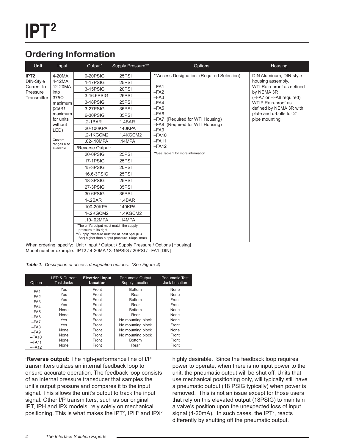## <span id="page-3-0"></span>**Ordering Information**

| <b>Unit</b>                   | Input                 | Output*                                                                                                             | Supply Pressure**                             | Options                                                                                                                                                                                | Housing                                                                                                                                                                                                          |
|-------------------------------|-----------------------|---------------------------------------------------------------------------------------------------------------------|-----------------------------------------------|----------------------------------------------------------------------------------------------------------------------------------------------------------------------------------------|------------------------------------------------------------------------------------------------------------------------------------------------------------------------------------------------------------------|
| IPT <sub>2</sub><br>DIN-Style | 4-20MA                | 0-20PSIG                                                                                                            | 25PSI                                         | **Access Designation (Required Selection):<br>$-FA1$<br>$-FA2$<br>$-FA3$<br>$-FA4$<br>$-FA5$<br>$-FA6$<br>-FA7 (Required for WTI Housing)<br>-FA8 (Required for WTI Housing)<br>$-FA9$ | DIN Aluminum, DIN-style<br>housing assembly.<br>WTI Rain-proof as defined<br>by NEMA 3R<br>(-FA7 or -FA8 required)<br>WTIP Rain-proof as<br>defined by NEMA 3R with<br>plate and u-bolts for 2"<br>pipe mounting |
|                               | 4-12MA                | 1-17PSIG                                                                                                            | 25PSI                                         |                                                                                                                                                                                        |                                                                                                                                                                                                                  |
| Current-to-                   | 12-20MA               | 3-15PSIG                                                                                                            | 20PSI                                         |                                                                                                                                                                                        |                                                                                                                                                                                                                  |
| Pressure<br>Transmitter I     | into<br>$375\Omega$   | 3-16.6PSIG                                                                                                          | 25PSI                                         |                                                                                                                                                                                        |                                                                                                                                                                                                                  |
|                               | maximum               | 3-18PSIG                                                                                                            | 25PSI                                         |                                                                                                                                                                                        |                                                                                                                                                                                                                  |
|                               | $(250\Omega)$         | 3-27PSIG                                                                                                            | 35PSI                                         |                                                                                                                                                                                        |                                                                                                                                                                                                                  |
|                               | maximum               | 6-30PSIG                                                                                                            | 35PSI                                         |                                                                                                                                                                                        |                                                                                                                                                                                                                  |
|                               | for units<br>without  | $.2 - 1BAR$                                                                                                         | 1.4BAR                                        |                                                                                                                                                                                        |                                                                                                                                                                                                                  |
|                               | LED)                  | 20-100KPA                                                                                                           | <b>140KPA</b>                                 |                                                                                                                                                                                        |                                                                                                                                                                                                                  |
|                               |                       | .2-1KGCM2                                                                                                           | 1.4KGCM2                                      | $-FA10$                                                                                                                                                                                |                                                                                                                                                                                                                  |
|                               | Custom<br>ranges also | .02-.10MPA                                                                                                          | .14MPA                                        | $-FA11$<br>$-FA12$<br>**See Table 1 for more information                                                                                                                               |                                                                                                                                                                                                                  |
|                               | available.            | *Reverse Output:                                                                                                    |                                               |                                                                                                                                                                                        |                                                                                                                                                                                                                  |
|                               |                       | 20-0PSIG                                                                                                            | 25PSI                                         |                                                                                                                                                                                        |                                                                                                                                                                                                                  |
|                               |                       | <b>17-1PSIG</b>                                                                                                     | 25PSI                                         |                                                                                                                                                                                        |                                                                                                                                                                                                                  |
|                               |                       | 15-3PSIG                                                                                                            | 20PSI                                         |                                                                                                                                                                                        |                                                                                                                                                                                                                  |
|                               |                       | 16.6-3PSIG                                                                                                          | 25PSI                                         |                                                                                                                                                                                        |                                                                                                                                                                                                                  |
|                               |                       | 18-3PSIG                                                                                                            | 25PSI                                         |                                                                                                                                                                                        |                                                                                                                                                                                                                  |
|                               |                       | 27-3PSIG                                                                                                            | 35PSI                                         |                                                                                                                                                                                        |                                                                                                                                                                                                                  |
|                               |                       | 30-6PSIG                                                                                                            | 35PSI                                         |                                                                                                                                                                                        |                                                                                                                                                                                                                  |
|                               |                       | $1 - 2BAR$                                                                                                          | 1.4BAR                                        |                                                                                                                                                                                        |                                                                                                                                                                                                                  |
|                               |                       | 100-20KPA                                                                                                           | <b>140KPA</b>                                 |                                                                                                                                                                                        |                                                                                                                                                                                                                  |
|                               |                       | 1-.2KGCM2                                                                                                           | 1.4KGCM2                                      |                                                                                                                                                                                        |                                                                                                                                                                                                                  |
|                               |                       | .10-.02MPA                                                                                                          | .14MPA                                        |                                                                                                                                                                                        |                                                                                                                                                                                                                  |
|                               |                       | *The unit's output must match the supply<br>pressure to its right.<br>**Supply Pressure must be at least 5psi (0.3) | Bar) higher than output pressure. (40psi max) |                                                                                                                                                                                        |                                                                                                                                                                                                                  |

When ordering, specify: Unit / Input / Output / Supply Pressure / Options [Housing] Model number example: IPT2 / 4-20MA / 3-15PSIG / 20PSI / –FA1 [DIN]

*Table 1. Description of access designation options. (See Figure 4)*

| Option  | <b>LED &amp; Current</b> | <b>Electrical Input</b> | <b>Pneumatic Output</b> | <b>Pneumatic Test</b> |
|---------|--------------------------|-------------------------|-------------------------|-----------------------|
|         | <b>Test Jacks</b>        | Location                | <b>Supply Location</b>  | <b>Jack Location</b>  |
| $-FA1$  | Yes                      | Front                   | <b>Bottom</b>           | <b>None</b>           |
| $-FA2$  | Yes                      | Front                   | Rear                    | None                  |
| $-FA3$  | Yes                      | Front                   | <b>Bottom</b>           | Front                 |
| $-FA4$  | <b>Yes</b>               | Front                   | Rear                    | Front                 |
| $-FA5$  | <b>None</b>              | Front                   | <b>Bottom</b>           | <b>None</b>           |
| $-FA6$  | <b>None</b>              | Front                   | Rear                    | <b>None</b>           |
| $-FA7$  | <b>Yes</b>               | Front                   | No mounting block       | None                  |
| $-FA8$  | Yes                      | Front                   | No mounting block       | Front                 |
| $-FA9$  | <b>None</b>              | Front                   | No mounting block       | <b>None</b>           |
| $-FA10$ | None                     | Front                   | No mounting block       | Front                 |
| $-FA11$ | None                     | Front                   | <b>Bottom</b>           | Front                 |
| $-FA12$ | None                     | Front                   | Rear                    | Front                 |

† **Reverse output:** The high-performance line of I/P transmitters utilizes an internal feedback loop to ensure accurate operation. The feedback loop consists of an internal pressure transducer that samples the unit's output pressure and compares it to the input signal. This allows the unit's output to track the input signal. Other I/P transmitters, such as our original IPT, IPH and IPX models, rely solely on mechanical positioning. This is what makes the IPT<sup>2</sup>, IPH<sup>2</sup> and IPX $^2$  highly desirable. Since the feedback loop requires power to operate, when there is no input power to the unit, the pneumatic output will be shut off. Units that use mechanical positioning only, will typically still have a pneumatic output (18 PSIG typically) when power is removed. This is not an issue except for those users that rely on this elevated output (18PSIG) to maintain a valve's position upon the unexpected loss of input signal (4-20mA). In such cases, the IPT<sup>2</sup>, reacts differently by shutting off the pneumatic output.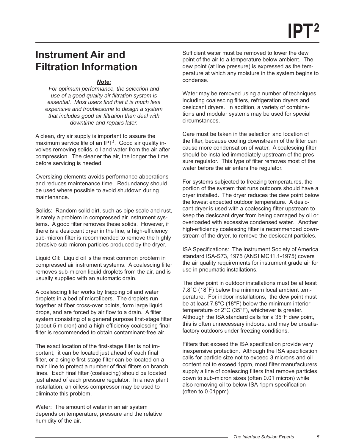# <span id="page-4-0"></span>**Instrument Air and Filtration Information**

#### *Note:*

*For optimum performance, the selection and use of a good quality air fi ltration system is*   $e$ ssential. Most users find that it is much less *expensive and troublesome to design a system that includes good air filtration than deal with downtime and repairs later.* 

A clean, dry air supply is important to assure the maximum service life of an IPT<sup>2</sup>. Good air quality involves removing solids, oil and water from the air after compression. The cleaner the air, the longer the time before servicing is needed.

Oversizing elements avoids performance abberations and reduces maintenance time. Redundancy should be used where possible to avoid shutdown during maintenance.

Solids: Random solid dirt, such as pipe scale and rust, is rarely a problem in compressed air instrument systems. A good filter removes these solids. However, if there is a desiccant dryer in the line, a high-efficiency sub-micron filter is recommended to remove the highly abrasive sub-micron particles produced by the dryer.

Liquid Oil: Liquid oil is the most common problem in compressed air instrument systems. A coalescing filter removes sub-micron liquid droplets from the air, and is usually supplied with an automatic drain.

A coalescing filter works by trapping oil and water droplets in a bed of microfibers. The droplets run together at fiber cross-over points, form large liquid drops, and are forced by air flow to a drain. A filter system consisting of a general purpose first-stage filter (about 5 micron) and a high-efficiency coalescing final filter is recommended to obtain contaminant-free air.

The exact location of the first-stage filter is not important; it can be located just ahead of each final filter, or a single first-stage filter can be located on a main line to protect a number of final filters on branch lines. Each final filter (coalescing) should be located just ahead of each pressure regulator. In a new plant installation, an oilless compressor may be used to eliminate this problem.

Water: The amount of water in an air system depends on temperature, pressure and the relative humidity of the air.

Sufficient water must be removed to lower the dew point of the air to a temperature below ambient. The dew point (at line pressure) is expressed as the temperature at which any moisture in the system begins to condense.

Water may be removed using a number of techniques, including coalescing filters, refrigeration dryers and desiccant dryers. In addition, a variety of combinations and modular systems may be used for special circumstances.

Care must be taken in the selection and location of the filter, because cooling downstream of the filter can cause more condensation of water. A coalescing filter should be installed immediately upstream of the pressure regulator. This type of filter removes most of the water before the air enters the regulator.

For systems subjected to freezing temperatures, the portion of the system that runs outdoors should have a dryer installed. The dryer reduces the dew point below the lowest expected outdoor temperature. A desiccant dryer is used with a coalescing filter upstream to keep the desiccant dryer from being damaged by oil or overloaded with excessive condensed water. Another high-efficiency coalescing filter is recommended downstream of the dryer, to remove the desiccant particles.

ISA Specifications: The Instrument Society of America standard ISA-S73, 1975 (ANSI MC11.1-1975) covers the air quality requirements for instrument grade air for use in pneumatic installations.

The dew point in outdoor installations must be at least 7.8°C (18°F) below the minimum local ambient temperature. For indoor installations, the dew point must be at least 7.8°C (18°F) below the minimum interior temperature or 2°C (35°F), whichever is greater. Although the ISA standard calls for a 35°F dew point, this is often unnecessary indoors, and may be unsatisfactory outdoors under freezing conditions.

Filters that exceed the ISA specification provide very inexpensive protection. Although the ISA specification calls for particle size not to exceed 3 microns and oil content not to exceed 1ppm, most filter manufacturers supply a line of coalescing filters that remove particles down to sub-micron sizes (often 0.01 micron) while also removing oil to below ISA 1ppm specification (often to 0.01ppm).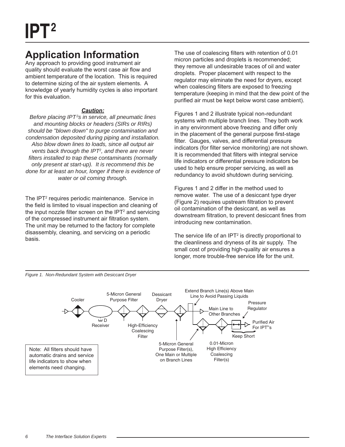# <span id="page-5-0"></span>**Application Information**

Any approach to providing good instrument air quality should evaluate the worst case air flow and ambient temperature of the location. This is required to determine sizing of the air system elements. A knowledge of yearly humidity cycles is also important for this evaluation.

### *Caution:*

*Before placing IPT2 s in service, all pneumatic lines and mounting blocks or headers (SIRs or RIRs) should be "blown down" to purge contamination and condensation deposited during piping and installation. Also blow down lines to loads, since all output air vents back through the IPT2 , and there are never fi lters installed to trap these contaminants (normally only present at start-up). It is recommend this be done for at least an hour, longer if there is evidence of water or oil coming through.* 

The IPT<sup>2</sup> requires periodic maintenance. Service in the field is limited to visual inspection and cleaning of the input nozzle filter screen on the  $IPT<sup>2</sup>$  and servicing of the compressed instrument air filtration system. The unit may be returned to the factory for complete disassembly, cleaning, and servicing on a periodic basis.

The use of coalescing filters with retention of 0.01 micron particles and droplets is recommended; they remove all undesirable traces of oil and water droplets. Proper placement with respect to the regulator may eliminate the need for dryers, except when coalescing filters are exposed to freezing temperature (keeping in mind that the dew point of the purified air must be kept below worst case ambient).

Figures 1 and 2 illustrate typical non-redundant systems with multiple branch lines. They both work in any environment above freezing and differ only in the placement of the general purpose first-stage filter. Gauges, valves, and differential pressure indicators (for filter service monitoring) are not shown. It is recommended that filters with integral service life indicators or differential pressure indicators be used to help ensure proper servicing, as well as redundancy to avoid shutdown during servicing.

Figures 1 and 2 differ in the method used to remove water. The use of a desiccant type dryer (Figure 2) requires upstream filtration to prevent oil contamination of the desiccant, as well as downstream filtration, to prevent desiccant fines from introducing new contamination.

The service life of an IPT $2$  is directly proportional to the cleanliness and dryness of its air supply. The small cost of providing high-quality air ensures a longer, more trouble-free service life for the unit.



*Figure 1. Non-Redundant System with Desiccant Dryer*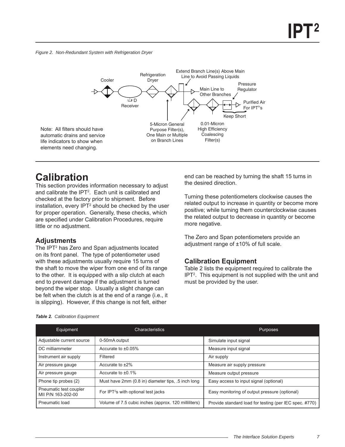<span id="page-6-0"></span>*Figure 2. Non-Redundant System with Refrigeration Dryer*



## **Calibration**

This section provides information necessary to adjust and calibrate the IPT2 . Each unit is calibrated and checked at the factory prior to shipment. Before installation, every IPT<sup>2</sup> should be checked by the user for proper operation. Generally, these checks, which are specified under Calibration Procedures, require little or no adjustment.

### **Adjustments**

The IPT<sup>2</sup> has Zero and Span adjustments located on its front panel. The type of potentiometer used with these adjustments usually require 15 turns of the shaft to move the wiper from one end of its range to the other. It is equipped with a slip clutch at each end to prevent damage if the adjustment is turned beyond the wiper stop. Usually a slight change can be felt when the clutch is at the end of a range (i.e., it is slipping). However, if this change is not felt, either

end can be reached by turning the shaft 15 turns in the desired direction.

Turning these potentiometers clockwise causes the related output to increase in quantity or become more positive; while turning them counterclockwise causes the related output to decrease in quantity or become more negative.

The Zero and Span potentiometers provide an adjustment range of ±10% of full scale.

### **Calibration Equipment**

Table 2 lists the equipment required to calibrate the IPT2 . This equipment is not supplied with the unit and must be provided by the user.

| Equipment                                    | Characteristics                                      | <b>Purposes</b>                                        |
|----------------------------------------------|------------------------------------------------------|--------------------------------------------------------|
| Adjustable current source                    | 0-50mA output                                        | Simulate input signal                                  |
| DC milliammeter                              | Accurate to $\pm 0.05\%$                             | Measure input signal                                   |
| Instrument air supply                        | Filtered                                             | Air supply                                             |
| Air pressure gauge                           | Accurate to $±2\%$                                   | Measure air supply pressure                            |
| Air pressure gauge                           | Accurate to $\pm 0.1\%$                              | Measure output pressure                                |
| Phone tip probes (2)                         | Must have 2mm (0.8 in) diameter tips, .5 inch long   | Easy access to input signal (optional)                 |
| Pneumatic test coupler<br>MII P/N 163-202-00 | For IPT <sup>2</sup> s with optional test jacks      | Easy monitoring of output pressure (optional)          |
| Pneumatic load                               | Volume of 7.5 cubic inches (approx. 120 milliliters) | Provide standard load for testing (per IEC spec. #770) |

#### *Table 2. Calibration Equipment*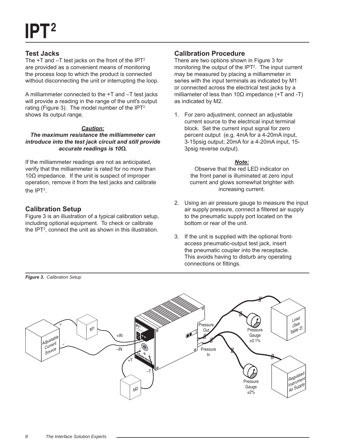### <span id="page-7-0"></span>**Test Jacks**

The  $+T$  and  $-T$  test jacks on the front of the IPT<sup>2</sup> are provided as a convenient means of monitoring the process loop to which the product is connected without disconnecting the unit or interrupting the loop.

A milliammeter connected to the +T and –T test jacks will provide a reading in the range of the unit's output rating (Figure 3). The model number of the IPT<sup>2</sup> shows its output range.

#### *Caution:*

*The maximum resistance the milliammeter can introduce into the test jack circuit and still provide accurate readings is 10Ω.*

If the milliammeter readings are not as anticipated, verify that the milliammeter is rated for no more than  $10Ω$  impedance. If the unit is suspect of improper operation, remove it from the test jacks and calibrate the  $IPT<sup>2</sup>$ .

## **Calibration Setup**

*Figure 3. Calibration Setup*

Figure 3 is an illustration of a typical calibration setup, including optional equipment. To check or calibrate the IPT2 , connect the unit as shown in this illustration.

### **Calibration Procedure**

There are two options shown in Figure 3 for monitoring the output of the  $IPT<sup>2</sup>$ . The input current may be measured by placing a milliammeter in series with the input terminals as indicated by M1 or connected across the electrical test jacks by a milliameter of less than 10Ω impedance  $(+T$  and -T) as indicated by M2.

1. For zero adjustment, connect an adjustable current source to the electrical input terminal block. Set the current input signal for zero percent output (e.g. 4mA for a 4-20mA input, 3-15psig output; 20mA for a 4-20mA input, 15- 3psig reverse output).

### *Note:*

Observe that the red LED indicator on the front panel is illuminated at zero input current and glows somewhat brighter with increasing current.

- 2. Using an air pressure gauge to measure the input air supply pressure, connect a filtered air supply to the pneumatic supply port located on the bottom or rear of the unit.
- 3. If the unit is supplied with the optional frontaccess pneumatic-output test jack, insert the pneumatic coupler into the receptacle. This avoids having to disturb any operating connections or fittings.

Load (Se<sup>e</sup> ressure +Table 2) **IPT** CURRENT/PRESSURE TRANSMITTER  $\mathsf{M}^1$ Out Pressure +IN Gauge **Adjustable**  +IN –IN **<sup>P</sup>**  $±0.1%$ Current – $\mathcal{O}$ Sourc<sup>e</sup> –IN Pressure +T In –T +T –T Regulate<sup>d</sup> Instrument **Pressure** Air Supply Gauge M2  $+2%$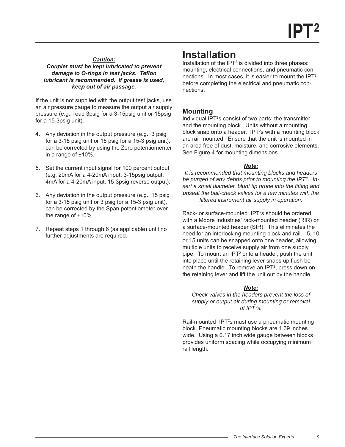#### <span id="page-8-0"></span>*Caution: Coupler must be kept lubricated to prevent damage to O-rings in test jacks. Teflon lubricant is recommended. If grease is used, keep out of air passage.*

If the unit is not supplied with the output test jacks, use an air pressure gauge to measure the output air supply pressure (e.g., read 3psig for a 3-15psig unit or 15psig for a 15-3psig unit).

- 4. Any deviation in the output pressure (e.g., 3 psig for a 3-15 psig unit or 15 psig for a 15-3 psig unit), can be corrected by using the Zero potentiomenter in a range of ±10%.
- 5. Set the current input signal for 100 percent output (e.g. 20mA for a 4-20mA input, 3-15psig output; 4mA for a 4-20mA input, 15-3psig reverse output).
- 6. Any deviation in the output pressure (e.g., 15 psig for a 3-15 psig unit or 3 psig for a 15-3 psig unit), can be corrected by the Span potentiometer over the range of ±10%.
- 7. Repeat steps 1 through 6 (as applicable) until no further adjustments are required.

# **Installation**

Installation of the IPT<sup>2</sup> is divided into three phases: mounting, electrical connections, and pneumatic connections. In most cases, it is easier to mount the IPT<sup>2</sup> before completing the electrical and pneumatic connections.

### **Mounting**

Individual IPT<sup>2</sup>s consist of two parts: the transmitter and the mounting block. Units without a mounting block snap onto a header. IPT $2$ s with a mounting block are rail mounted. Ensure that the unit is mounted in an area free of dust, moisture, and corrosive elements. See Figure 4 for mounting dimensions.

### *Note:*

*It is recommended that mounting blocks and headers be purged of any debris prior to mounting the IPT2 . Insert a small diameter, blunt tip probe into the fitting and unseat the ball-check valves for a few minutes with the fi ltered instrument air supply in operation.*

Rack- or surface-mounted IPT<sup>2</sup>s should be ordered with a Moore Industries' rack-mounted header (RIR) or a surface-mounted header (SIR). This eliminates the need for an interlocking mounting block and rail. 5, 10 or 15 units can be snapped onto one header, allowing multiple units to receive supply air from one supply pipe. To mount an IPT<sup>2</sup> onto a header, push the unit into place until the retaining lever snaps up flush beneath the handle. To remove an IPT<sup>2</sup>, press down on the retaining lever and lift the unit out by the handle.

### *Note:*

*Check valves in the headers prevent the loss of supply or output air during mounting or removal of IPT2 s.* 

Rail-mounted IPT<sup>2</sup>s must use a pneumatic mounting block. Pneumatic mounting blocks are 1.39 inches wide. Using a 0.17 inch wide gauge between blocks provides uniform spacing while occupying minimum rail length.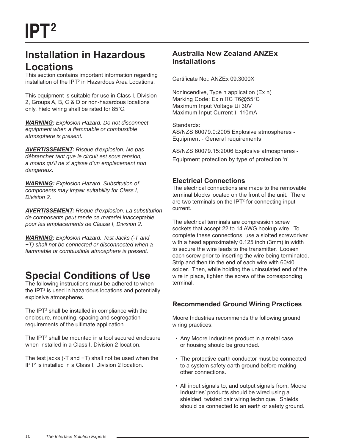# <span id="page-9-0"></span>**Installation in Hazardous Locations**

This section contains important information regarding installation of the IPT<sup>2</sup> in Hazardous Area Locations.

This equipment is suitable for use in Class I, Division 2, Groups A, B, C & D or non-hazardous locations only. Field wiring shall be rated for 85˚C.

*WARNING: Explosion Hazard. Do not disconnect equipment when a fl ammable or combustible atmosphere is present.* 

*AVERTISSEMENT: Risque d'explosion. Ne pas débrancher tant que le circuit est sous tension, a moins qu'il ne s' agisse d'un emplacement non dangereux.*

*WARNING: Explosion Hazard. Substitution of components may impair suitability for Class I, Division 2.*

*AVERTISSEMENT: Risque d'explosion. La substitution de composants peut rende ce materiel inacceptable pour les emplacements de Classe I, Division 2.*

*WARNING: Explosion Hazard. Test Jacks (-T and +T) shall not be connected or disconnected when a fl ammable or combustible atmosphere is present.*

# **Special Conditions of Use**

The following instructions must be adhered to when the IPT<sup>2</sup> is used in hazardous locations and potentially explosive atmospheres.

The IPT $2$  shall be installed in compliance with the enclosure, mounting, spacing and segregation requirements of the ultimate application.

The IPT<sup>2</sup> shall be mounted in a tool secured enclosure when installed in a Class I, Division 2 location.

The test jacks (-T and +T) shall not be used when the IPT2 is installed in a Class I, Division 2 location.

## **Australia New Zealand ANZEx Installations**

Certificate No.: ANZEx 09.3000X

Nonincendive, Type n application (Ex n) Marking Code: Ex n IIC T6@55°C Maximum Input Voltage Ui 30V Maximum Input Current Ii 110mA

Standards: AS/NZS 60079.0:2005 Explosive atmospheres - Equipment - General requirements

AS/NZS 60079.15:2006 Explosive atmospheres - Equipment protection by type of protection 'n'

## **Electrical Connections**

The electrical connections are made to the removable terminal blocks located on the front of the unit. There are two terminals on the IPT<sup>2</sup> for connecting input current.

The electrical terminals are compression screw sockets that accept 22 to 14 AWG hookup wire. To complete these connections, use a slotted screwdriver with a head approximately 0.125 inch (3mm) in width to secure the wire leads to the transmitter. Loosen each screw prior to inserting the wire being terminated. Strip and then tin the end of each wire with 60/40 solder. Then, while holding the uninsulated end of the wire in place, tighten the screw of the corresponding terminal.

## **Recommended Ground Wiring Practices**

Moore Industries recommends the following ground wiring practices:

- Any Moore Industries product in a metal case or housing should be grounded.
- The protective earth conductor must be connected to a system safety earth ground before making other connections.
- All input signals to, and output signals from, Moore Industries' products should be wired using a shielded, twisted pair wiring technique. Shields should be connected to an earth or safety ground.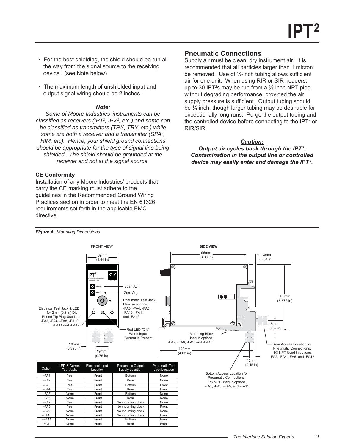- <span id="page-10-0"></span> • For the best shielding, the shield should be run all the way from the signal source to the receiving device. (see Note below)
- The maximum length of unshielded input and output signal wiring should be 2 inches.

#### *Note:*

*Some of Moore Industries' instruments can be classified as receivers (IPT<sup>2</sup>, IPX<sup>2</sup>, etc.) and some can be classifi ed as transmitters (TRX, TRY, etc.) while some are both a receiver and a transmitter (SPA2 , HIM, etc). Hence, your shield ground connections should be appropriate for the type of signal line being shielded. The shield should be grounded at the receiver and not at the signal source.*

#### **CE Conformity**

Installation of any Moore Industries' products that carry the CE marking must adhere to the guidelines in the Recommended Ground Wiring Practices section in order to meet the EN 61326 requirements set forth in the applicable EMC directive.

### **Pneumatic Connections**

Supply air must be clean, dry instrument air. It is recommended that all particles larger than 1 micron be removed. Use of  $\frac{1}{4}$ -inch tubing allows sufficient air for one unit. When using RIR or SIR headers, up to 30 IPT<sup>2</sup>s may be run from a  $\frac{3}{4}$ -inch NPT pipe without degrading performance, provided the air supply pressure is sufficient. Output tubing should be ¼-inch, though larger tubing may be desirable for exceptionally long runs. Purge the output tubing and the controlled device before connecting to the IPT<sup>2</sup> or RIR/SIR.

#### *Caution:*

*Output air cycles back through the IPT2 . Contamination in the output line or controlled device may easily enter and damage the IPT2 .*



#### *Figure 4. Mounting Dimensions*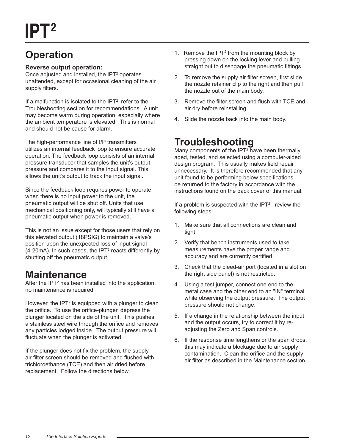# <span id="page-11-0"></span>**Operation**

### **Reverse output operation:**

Once adjusted and installed, the IPT $2$  operates unattended, except for occasional cleaning of the air supply filters.

If a malfunction is isolated to the IPT<sup>2</sup>, refer to the Troubleshooting section for recommendations. A unit may become warm during operation, especially where the ambient temperature is elevated. This is normal and should not be cause for alarm.

The high-performance line of I/P transmitters utilizes an internal feedback loop to ensure accurate operation. The feedback loop consists of an internal pressure transducer that samples the unit's output pressure and compares it to the input signal. This allows the unit's output to track the input signal.

Since the feedback loop requires power to operate, when there is no input power to the unit, the pneumatic output will be shut off. Units that use mechanical positioning only, will typically still have a pneumatic output when power is removed.

This is not an issue except for those users that rely on this elevated output (18PSIG) to maintain a valve's position upon the unexpected loss of input signal  $(4\n-20mA)$ . In such cases, the IPT<sup>2</sup> reacts differently by shutting off the pneumatic output.

## **Maintenance**

After the IPT<sup>2</sup> has been installed into the application, no maintenance is required.

However, the IPT<sup>2</sup> is equipped with a plunger to clean the orifice. To use the orifice-plunger, depress the plunger located on the side of the unit. This pushes a stainless steel wire through the orifice and removes any particles lodged inside. The output pressure will fluctuate when the plunger is activated.

If the plunger does not fix the problem, the supply air filter screen should be removed and flushed with trichloroethance (TCE) and then air dried before replacement. Follow the directions below.

- 1. Remove the IPT<sup>2</sup> from the mounting block by pressing down on the locking lever and pulling straight out to disengage the pneumatic fittings.
- 2. To remove the supply air filter screen, first slide the nozzle retainer clip to the right and then pull the nozzle out of the main body.
- 3. Remove the filter screen and flush with TCE and air dry before reinstalling.
- 4. Slide the nozzle back into the main body.

# **Troubleshooting**

Many components of the IPT<sup>2</sup> have been thermally aged, tested, and selected using a computer-aided design program. This usually makes field repair unnecessary. It is therefore recommended that any unit found to be performing below specifications be returned to the factory in accordance with the instructions found on the back cover of this manual.

If a problem is suspected with the  $IPT<sup>2</sup>$ , review the following steps:

- 1. Make sure that all connections are clean and tight.
- 2. Verify that bench instruments used to take measurements have the proper range and accuracy and are currently certified.
- 3. Check that the bleed-air port (located in a slot on the right side panel) is not restricted.
- 4. Using a test jumper, connect one end to the metal case and the other end to an "IN" terminal while observing the output pressure. The output pressure should not change.
- 5. If a change in the relationship between the input and the output occurs, try to correct it by readjusting the Zero and Span controls.
- 6. If the response time lengthens or the span drops, this may indicate a blockage due to air supply contamination. Clean the orifice and the supply air filter as described in the Maintenance section.